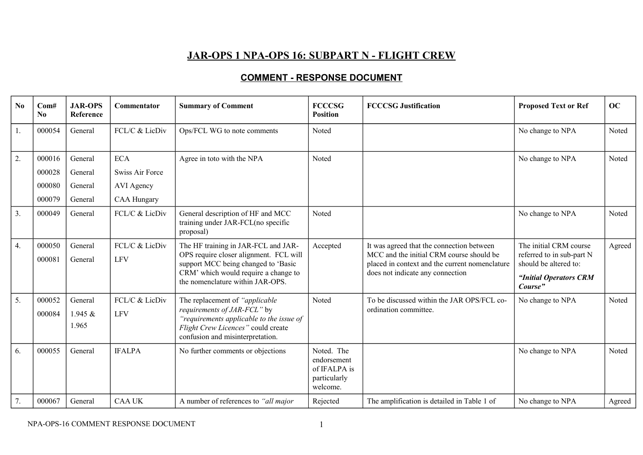## **JAR-OPS 1 NPA-OPS 16: SUBPART N - FLIGHT CREW**

## **COMMENT - RESPONSE DOCUMENT**

| No | Com#<br>N <sub>0</sub>               | <b>JAR-OPS</b><br>Reference              | <b>Commentator</b>                                                       | <b>Summary of Comment</b>                                                                                                                                                                        | <b>FCCCSG</b><br><b>Position</b>                                      | <b>FCCCSG Justification</b>                                                                                                                                                 | <b>Proposed Text or Ref</b>                                                                                       | OC     |
|----|--------------------------------------|------------------------------------------|--------------------------------------------------------------------------|--------------------------------------------------------------------------------------------------------------------------------------------------------------------------------------------------|-----------------------------------------------------------------------|-----------------------------------------------------------------------------------------------------------------------------------------------------------------------------|-------------------------------------------------------------------------------------------------------------------|--------|
| 1. | 000054                               | General                                  | FCL/C & LicDiv                                                           | Ops/FCL WG to note comments                                                                                                                                                                      | Noted                                                                 |                                                                                                                                                                             | No change to NPA                                                                                                  | Noted  |
| 2. | 000016<br>000028<br>000080<br>000079 | General<br>General<br>General<br>General | <b>ECA</b><br>Swiss Air Force<br><b>AVI</b> Agency<br><b>CAA Hungary</b> | Agree in toto with the NPA                                                                                                                                                                       | Noted                                                                 |                                                                                                                                                                             | No change to NPA                                                                                                  | Noted  |
| 3. | 000049                               | General                                  | FCL/C & LicDiv                                                           | General description of HF and MCC<br>training under JAR-FCL(no specific<br>proposal)                                                                                                             | Noted                                                                 |                                                                                                                                                                             | No change to NPA                                                                                                  | Noted  |
| 4. | 000050<br>000081                     | General<br>General                       | FCL/C & LicDiv<br><b>LFV</b>                                             | The HF training in JAR-FCL and JAR-<br>OPS require closer alignment. FCL will<br>support MCC being changed to 'Basic<br>CRM' which would require a change to<br>the nomenclature within JAR-OPS. | Accepted                                                              | It was agreed that the connection between<br>MCC and the initial CRM course should be<br>placed in context and the current nomenclature<br>does not indicate any connection | The initial CRM course<br>referred to in sub-part N<br>should be altered to:<br>"Initial Operators CRM<br>Course" | Agreed |
| 5. | 000052<br>000084                     | General<br>1.945 $&$<br>1.965            | FCL/C & LicDiv<br>LFV                                                    | The replacement of "applicable<br>requirements of JAR-FCL" by<br>"requirements applicable to the issue of<br>Flight Crew Licences" could create<br>confusion and misinterpretation.              | Noted                                                                 | To be discussed within the JAR OPS/FCL co-<br>ordination committee.                                                                                                         | No change to NPA                                                                                                  | Noted  |
| 6. | 000055                               | General                                  | <b>IFALPA</b>                                                            | No further comments or objections                                                                                                                                                                | Noted. The<br>endorsement<br>of IFALPA is<br>particularly<br>welcome. |                                                                                                                                                                             | No change to NPA                                                                                                  | Noted  |
| 7. | 000067                               | General                                  | <b>CAA UK</b>                                                            | A number of references to "all major                                                                                                                                                             | Rejected                                                              | The amplification is detailed in Table 1 of                                                                                                                                 | No change to NPA                                                                                                  | Agreed |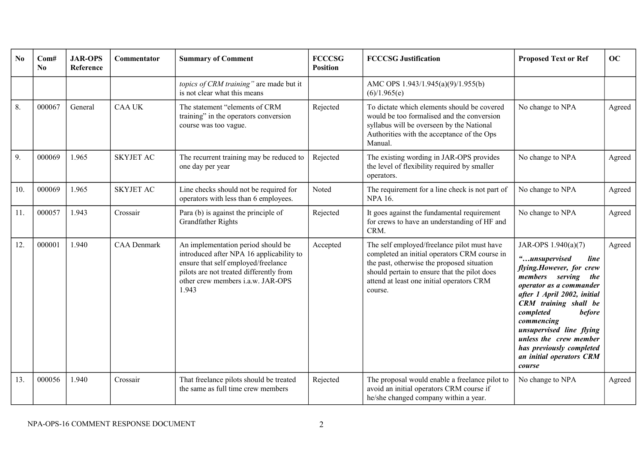| No  | Com#<br>No | <b>JAR-OPS</b><br>Reference | <b>Commentator</b> | <b>Summary of Comment</b>                                                                                                                                                                                      | <b>FCCCSG</b><br><b>Position</b> | <b>FCCCSG Justification</b>                                                                                                                                                                                                                       | <b>Proposed Text or Ref</b>                                                                                                                                                                                                                                                                                                                                   | OC     |
|-----|------------|-----------------------------|--------------------|----------------------------------------------------------------------------------------------------------------------------------------------------------------------------------------------------------------|----------------------------------|---------------------------------------------------------------------------------------------------------------------------------------------------------------------------------------------------------------------------------------------------|---------------------------------------------------------------------------------------------------------------------------------------------------------------------------------------------------------------------------------------------------------------------------------------------------------------------------------------------------------------|--------|
|     |            |                             |                    | topics of CRM training" are made but it<br>is not clear what this means                                                                                                                                        |                                  | AMC OPS 1.943/1.945(a)(9)/1.955(b)<br>(6)/1.965(e)                                                                                                                                                                                                |                                                                                                                                                                                                                                                                                                                                                               |        |
| 8.  | 000067     | General                     | <b>CAA UK</b>      | The statement "elements of CRM<br>training" in the operators conversion<br>course was too vague.                                                                                                               | Rejected                         | To dictate which elements should be covered<br>would be too formalised and the conversion<br>syllabus will be overseen by the National<br>Authorities with the acceptance of the Ops<br>Manual.                                                   | No change to NPA                                                                                                                                                                                                                                                                                                                                              | Agreed |
| 9.  | 000069     | 1.965                       | <b>SKYJET AC</b>   | The recurrent training may be reduced to<br>one day per year                                                                                                                                                   | Rejected                         | The existing wording in JAR-OPS provides<br>the level of flexibility required by smaller<br>operators.                                                                                                                                            | No change to NPA                                                                                                                                                                                                                                                                                                                                              | Agreed |
| 10. | 000069     | 1.965                       | <b>SKYJET AC</b>   | Line checks should not be required for<br>operators with less than 6 employees.                                                                                                                                | Noted                            | The requirement for a line check is not part of<br><b>NPA 16.</b>                                                                                                                                                                                 | No change to NPA                                                                                                                                                                                                                                                                                                                                              | Agreed |
| 11. | 000057     | 1.943                       | Crossair           | Para (b) is against the principle of<br><b>Grandfather Rights</b>                                                                                                                                              | Rejected                         | It goes against the fundamental requirement<br>for crews to have an understanding of HF and<br>CRM.                                                                                                                                               | No change to NPA                                                                                                                                                                                                                                                                                                                                              | Agreed |
| 12. | 000001     | 1.940                       | <b>CAA</b> Denmark | An implementation period should be<br>introduced after NPA 16 applicability to<br>ensure that self employed/freelance<br>pilots are not treated differently from<br>other crew members i.a.w. JAR-OPS<br>1.943 | Accepted                         | The self employed/freelance pilot must have<br>completed an initial operators CRM course in<br>the past, otherwise the proposed situation<br>should pertain to ensure that the pilot does<br>attend at least one initial operators CRM<br>course. | JAR-OPS 1.940(a)(7)<br>"unsupervised<br>line<br>flying.However, for crew<br>members serving the<br>operator as a commander<br>after 1 April 2002, initial<br><b>CRM</b> training shall be<br>completed<br><b>before</b><br>commencing<br>unsupervised line flying<br>unless the crew member<br>has previously completed<br>an initial operators CRM<br>course | Agreed |
| 13. | 000056     | 1.940                       | Crossair           | That freelance pilots should be treated<br>the same as full time crew members                                                                                                                                  | Rejected                         | The proposal would enable a freelance pilot to<br>avoid an initial operators CRM course if<br>he/she changed company within a year.                                                                                                               | No change to NPA                                                                                                                                                                                                                                                                                                                                              | Agreed |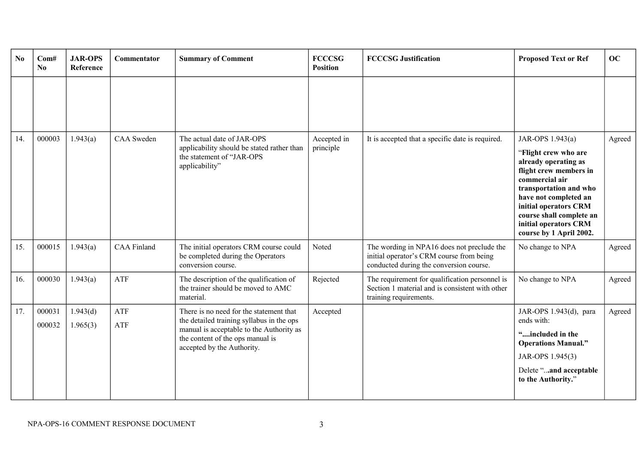| N <sub>0</sub> | Com#<br>N <sub>0</sub> | <b>JAR-OPS</b><br>Reference | Commentator        | <b>Summary of Comment</b>                                                                                                                                                                          | <b>FCCCSG</b><br><b>Position</b> | <b>FCCCSG Justification</b>                                                                                                       | <b>Proposed Text or Ref</b>                                                                                                                                                                                                                                              | OC     |
|----------------|------------------------|-----------------------------|--------------------|----------------------------------------------------------------------------------------------------------------------------------------------------------------------------------------------------|----------------------------------|-----------------------------------------------------------------------------------------------------------------------------------|--------------------------------------------------------------------------------------------------------------------------------------------------------------------------------------------------------------------------------------------------------------------------|--------|
|                |                        |                             |                    |                                                                                                                                                                                                    |                                  |                                                                                                                                   |                                                                                                                                                                                                                                                                          |        |
| 14.            | 000003                 | 1.943(a)                    | <b>CAA</b> Sweden  | The actual date of JAR-OPS<br>applicability should be stated rather than<br>the statement of "JAR-OPS<br>applicability"                                                                            | Accepted in<br>principle         | It is accepted that a specific date is required.                                                                                  | JAR-OPS 1.943(a)<br>"Flight crew who are<br>already operating as<br>flight crew members in<br>commercial air<br>transportation and who<br>have not completed an<br>initial operators CRM<br>course shall complete an<br>initial operators CRM<br>course by 1 April 2002. | Agreed |
| 15.            | 000015                 | 1.943(a)                    | <b>CAA Finland</b> | The initial operators CRM course could<br>be completed during the Operators<br>conversion course.                                                                                                  | Noted                            | The wording in NPA16 does not preclude the<br>initial operator's CRM course from being<br>conducted during the conversion course. | No change to NPA                                                                                                                                                                                                                                                         | Agreed |
| 16.            | 000030                 | 1.943(a)                    | ATF                | The description of the qualification of<br>the trainer should be moved to AMC<br>material.                                                                                                         | Rejected                         | The requirement for qualification personnel is<br>Section 1 material and is consistent with other<br>training requirements.       | No change to NPA                                                                                                                                                                                                                                                         | Agreed |
| 17.            | 000031<br>000032       | 1.943(d)<br>1.965(3)        | ATF<br>ATF         | There is no need for the statement that<br>the detailed training syllabus in the ops<br>manual is acceptable to the Authority as<br>the content of the ops manual is<br>accepted by the Authority. | Accepted                         |                                                                                                                                   | JAR-OPS 1.943(d), para<br>ends with:<br>"included in the<br><b>Operations Manual."</b><br>JAR-OPS 1.945(3)<br>Delete "and acceptable<br>to the Authority."                                                                                                               | Agreed |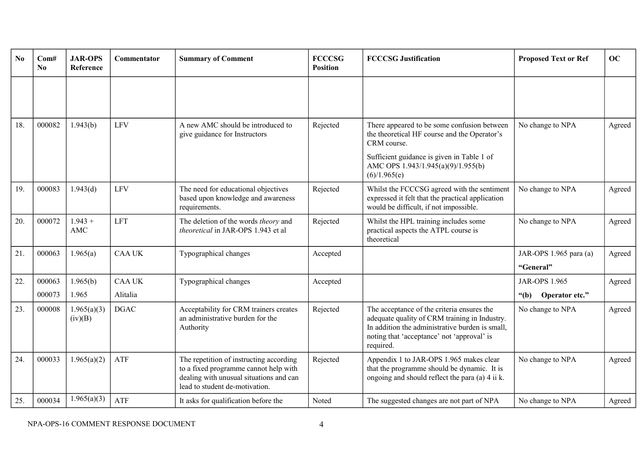| N <sub>0</sub> | Com#<br>N <sub>0</sub> | <b>JAR-OPS</b><br>Reference | Commentator               | <b>Summary of Comment</b>                                                                                                                                     | <b>FCCCSG</b><br><b>Position</b> | <b>FCCCSG Justification</b>                                                                                                                                                                               | <b>Proposed Text or Ref</b>                       | OC     |
|----------------|------------------------|-----------------------------|---------------------------|---------------------------------------------------------------------------------------------------------------------------------------------------------------|----------------------------------|-----------------------------------------------------------------------------------------------------------------------------------------------------------------------------------------------------------|---------------------------------------------------|--------|
|                |                        |                             |                           |                                                                                                                                                               |                                  |                                                                                                                                                                                                           |                                                   |        |
| 18.            | 000082                 | 1.943(b)                    | LFV                       | A new AMC should be introduced to<br>give guidance for Instructors                                                                                            | Rejected                         | There appeared to be some confusion between<br>the theoretical HF course and the Operator's<br>CRM course.                                                                                                | No change to NPA                                  | Agreed |
|                |                        |                             |                           |                                                                                                                                                               |                                  | Sufficient guidance is given in Table 1 of<br>AMC OPS 1.943/1.945(a)(9)/1.955(b)<br>(6)/1.965(e)                                                                                                          |                                                   |        |
| 19.            | 000083                 | 1.943(d)                    | <b>LFV</b>                | The need for educational objectives<br>based upon knowledge and awareness<br>requirements.                                                                    | Rejected                         | Whilst the FCCCSG agreed with the sentiment<br>expressed it felt that the practical application<br>would be difficult, if not impossible.                                                                 | No change to NPA                                  | Agreed |
| 20.            | 000072                 | $1.943 +$<br>AMC            | <b>LFT</b>                | The deletion of the words theory and<br>theoretical in JAR-OPS 1.943 et al                                                                                    | Rejected                         | Whilst the HPL training includes some<br>practical aspects the ATPL course is<br>theoretical                                                                                                              | No change to NPA                                  | Agreed |
| 21.            | 000063                 | 1.965(a)                    | <b>CAA UK</b>             | Typographical changes                                                                                                                                         | Accepted                         |                                                                                                                                                                                                           | JAR-OPS 1.965 para (a)<br>"General"               | Agreed |
| 22.            | 000063<br>000073       | 1.965(b)<br>1.965           | <b>CAA UK</b><br>Alitalia | Typographical changes                                                                                                                                         | Accepted                         |                                                                                                                                                                                                           | <b>JAR-OPS 1.965</b><br>Operator etc."<br>" $(b)$ | Agreed |
| 23.            | 000008                 | 1.965(a)(3)<br>(iv)(B)      | <b>DGAC</b>               | Acceptability for CRM trainers creates<br>an administrative burden for the<br>Authority                                                                       | Rejected                         | The acceptance of the criteria ensures the<br>adequate quality of CRM training in Industry.<br>In addition the administrative burden is small,<br>noting that 'acceptance' not 'approval' is<br>required. | No change to NPA                                  | Agreed |
| 24.            | 000033                 | 1.965(a)(2)                 | ATF                       | The repetition of instructing according<br>to a fixed programme cannot help with<br>dealing with unusual situations and can<br>lead to student de-motivation. | Rejected                         | Appendix 1 to JAR-OPS 1.965 makes clear<br>that the programme should be dynamic. It is<br>ongoing and should reflect the para (a) 4 ii k.                                                                 | No change to NPA                                  | Agreed |
| 25.            | 000034                 | 1.965(a)(3)                 | ATF                       | It asks for qualification before the                                                                                                                          | Noted                            | The suggested changes are not part of NPA                                                                                                                                                                 | No change to NPA                                  | Agreed |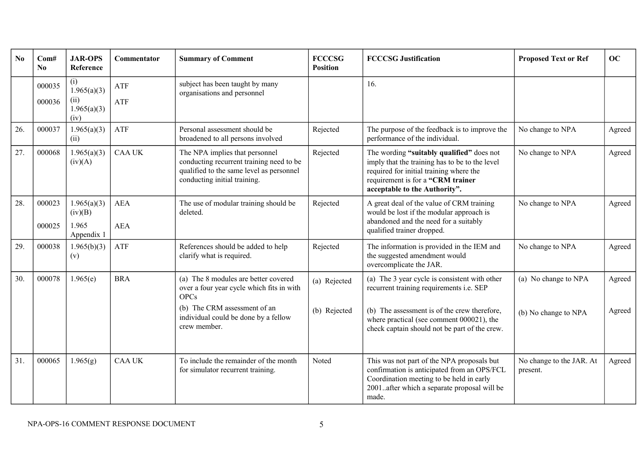| N <sub>0</sub> | Com#<br>No       | <b>JAR-OPS</b><br>Reference                       | <b>Commentator</b> | <b>Summary of Comment</b>                                                                                                                                                                | <b>FCCCSG</b><br><b>Position</b> | <b>FCCCSG Justification</b>                                                                                                                                                                                                             | <b>Proposed Text or Ref</b>                  | OC               |
|----------------|------------------|---------------------------------------------------|--------------------|------------------------------------------------------------------------------------------------------------------------------------------------------------------------------------------|----------------------------------|-----------------------------------------------------------------------------------------------------------------------------------------------------------------------------------------------------------------------------------------|----------------------------------------------|------------------|
|                | 000035<br>000036 | (i)<br>1.965(a)(3)<br>(ii)<br>1.965(a)(3)<br>(iv) | ATF<br>ATF         | subject has been taught by many<br>organisations and personnel                                                                                                                           |                                  | 16.                                                                                                                                                                                                                                     |                                              |                  |
| 26.            | 000037           | 1.965(a)(3)<br>(ii)                               | ATF                | Personal assessment should be<br>broadened to all persons involved                                                                                                                       | Rejected                         | The purpose of the feedback is to improve the<br>performance of the individual.                                                                                                                                                         | No change to NPA                             | Agreed           |
| 27.            | 000068           | 1.965(a)(3)<br>(iv)(A)                            | <b>CAA UK</b>      | The NPA implies that personnel<br>conducting recurrent training need to be<br>qualified to the same level as personnel<br>conducting initial training.                                   | Rejected                         | The wording "suitably qualified" does not<br>imply that the training has to be to the level<br>required for initial training where the<br>requirement is for a "CRM trainer<br>acceptable to the Authority".                            | No change to NPA                             | Agreed           |
| 28.            | 000023<br>000025 | 1.965(a)(3)<br>(iv)(B)<br>1.965<br>Appendix 1     | <b>AEA</b><br>AEA  | The use of modular training should be<br>deleted.                                                                                                                                        | Rejected                         | A great deal of the value of CRM training<br>would be lost if the modular approach is<br>abandoned and the need for a suitably<br>qualified trainer dropped.                                                                            | No change to NPA                             | Agreed           |
| 29.            | 000038           | 1.965(b)(3)<br>(v)                                | ATF                | References should be added to help<br>clarify what is required.                                                                                                                          | Rejected                         | The information is provided in the IEM and<br>the suggested amendment would<br>overcomplicate the JAR.                                                                                                                                  | No change to NPA                             | Agreed           |
| 30.            | 000078           | 1.965(e)                                          | <b>BRA</b>         | (a) The 8 modules are better covered<br>over a four year cycle which fits in with<br><b>OPCs</b><br>(b) The CRM assessment of an<br>individual could be done by a fellow<br>crew member. | (a) Rejected<br>(b) Rejected     | (a) The 3 year cycle is consistent with other<br>recurrent training requirements i.e. SEP<br>(b) The assessment is of the crew therefore,<br>where practical (see comment 000021), the<br>check captain should not be part of the crew. | (a) No change to NPA<br>(b) No change to NPA | Agreed<br>Agreed |
| 31.            | 000065           | 1.965(g)                                          | <b>CAA UK</b>      | To include the remainder of the month<br>for simulator recurrent training.                                                                                                               | Noted                            | This was not part of the NPA proposals but<br>confirmation is anticipated from an OPS/FCL<br>Coordination meeting to be held in early<br>2001after which a separate proposal will be<br>made.                                           | No change to the JAR. At<br>present.         | Agreed           |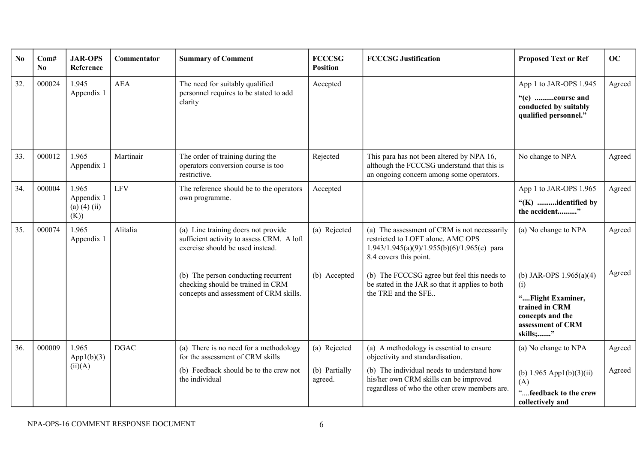| N <sub>0</sub> | Com#<br>N <sub>0</sub> | <b>JAR-OPS</b><br>Reference                   | Commentator | <b>Summary of Comment</b>                                                                                            | <b>FCCCSG</b><br><b>Position</b> | <b>FCCCSG</b> Justification                                                                                                                                  | <b>Proposed Text or Ref</b>                                                                                                  | OC     |
|----------------|------------------------|-----------------------------------------------|-------------|----------------------------------------------------------------------------------------------------------------------|----------------------------------|--------------------------------------------------------------------------------------------------------------------------------------------------------------|------------------------------------------------------------------------------------------------------------------------------|--------|
| 32.            | 000024                 | 1.945<br>Appendix 1                           | <b>AEA</b>  | The need for suitably qualified<br>personnel requires to be stated to add<br>clarity                                 | Accepted                         |                                                                                                                                                              | App 1 to JAR-OPS 1.945<br>"(c) course and<br>conducted by suitably<br>qualified personnel."                                  | Agreed |
| 33.            | 000012                 | 1.965<br>Appendix 1                           | Martinair   | The order of training during the<br>operators conversion course is too<br>restrictive.                               | Rejected                         | This para has not been altered by NPA 16,<br>although the FCCCSG understand that this is<br>an ongoing concern among some operators.                         | No change to NPA                                                                                                             | Agreed |
| 34.            | 000004                 | 1.965<br>Appendix 1<br>(a) $(4)$ (ii)<br>(K)) | <b>LFV</b>  | The reference should be to the operators<br>own programme.                                                           | Accepted                         |                                                                                                                                                              | App 1 to JAR-OPS 1.965<br>"(K) identified by<br>the accident"                                                                | Agreed |
| 35.            | 000074                 | 1.965<br>Appendix 1                           | Alitalia    | (a) Line training doers not provide<br>sufficient activity to assess CRM. A loft<br>exercise should be used instead. | (a) Rejected                     | (a) The assessment of CRM is not necessarily<br>restricted to LOFT alone. AMC OPS<br>$1.943/1.945(a)(9)/1.955(b)(6)/1.965(e)$ para<br>8.4 covers this point. | (a) No change to NPA                                                                                                         | Agreed |
|                |                        |                                               |             | (b) The person conducting recurrent<br>checking should be trained in CRM<br>concepts and assessment of CRM skills.   | (b) Accepted                     | (b) The FCCCSG agree but feel this needs to<br>be stated in the JAR so that it applies to both<br>the TRE and the SFE                                        | (b) JAR-OPS $1.965(a)(4)$<br>(i)<br>"Flight Examiner,<br>trained in CRM<br>concepts and the<br>assessment of CRM<br>skills;" | Agreed |
| 36.            | 000009                 | 1.965<br>App1(b)(3)<br>(ii)(A)                | <b>DGAC</b> | (a) There is no need for a methodology<br>for the assessment of CRM skills                                           | (a) Rejected                     | (a) A methodology is essential to ensure<br>objectivity and standardisation.                                                                                 | (a) No change to NPA                                                                                                         | Agreed |
|                |                        |                                               |             | (b) Feedback should be to the crew not<br>the individual                                                             | (b) Partially<br>agreed.         | (b) The individual needs to understand how<br>his/her own CRM skills can be improved<br>regardless of who the other crew members are.                        | (b) $1.965$ App1(b)(3)(ii)<br>(A)<br>feedback to the crew<br>collectively and                                                | Agreed |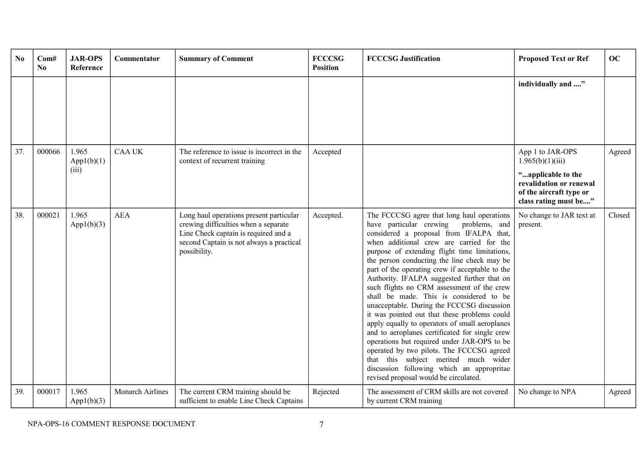| N <sub>0</sub> | Com#<br>No. | <b>JAR-OPS</b><br>Reference  | <b>Commentator</b> | <b>Summary of Comment</b>                                                                                                                                                           | <b>FCCCSG</b><br><b>Position</b> | <b>FCCCSG Justification</b>                                                                                                                                                                                                                                                                                                                                                                                                                                                                                                                                                                                                                                                                                                                                                                                                                                                                       | <b>Proposed Text or Ref</b>                                                                                                               | OC     |
|----------------|-------------|------------------------------|--------------------|-------------------------------------------------------------------------------------------------------------------------------------------------------------------------------------|----------------------------------|---------------------------------------------------------------------------------------------------------------------------------------------------------------------------------------------------------------------------------------------------------------------------------------------------------------------------------------------------------------------------------------------------------------------------------------------------------------------------------------------------------------------------------------------------------------------------------------------------------------------------------------------------------------------------------------------------------------------------------------------------------------------------------------------------------------------------------------------------------------------------------------------------|-------------------------------------------------------------------------------------------------------------------------------------------|--------|
|                |             |                              |                    |                                                                                                                                                                                     |                                  |                                                                                                                                                                                                                                                                                                                                                                                                                                                                                                                                                                                                                                                                                                                                                                                                                                                                                                   | individually and "                                                                                                                        |        |
| 37.            | 000066      | 1.965<br>App1(b)(1)<br>(iii) | <b>CAA UK</b>      | The reference to issue is incorrect in the<br>context of recurrent training                                                                                                         | Accepted                         |                                                                                                                                                                                                                                                                                                                                                                                                                                                                                                                                                                                                                                                                                                                                                                                                                                                                                                   | App 1 to JAR-OPS<br>1.965(b)(1)(iii)<br>"applicable to the<br>revalidation or renewal<br>of the aircraft type or<br>class rating must be" | Agreed |
| 38.            | 000021      | 1.965<br>App1(b)(3)          | <b>AEA</b>         | Long haul operations present particular<br>crewing difficulties when a separate<br>Line Check captain is required and a<br>second Captain is not always a practical<br>possibility. | Accepted.                        | The FCCCSG agree that long haul operations<br>have particular crewing problems, and<br>considered a proposal from IFALPA that,<br>when additional crew are carried for the<br>purpose of extending flight time limitations,<br>the person conducting the line check may be<br>part of the operating crew if acceptable to the<br>Authority. IFALPA suggested further that on<br>such flights no CRM assessment of the crew<br>shall be made. This is considered to be<br>unacceptable. During the FCCCSG discussion<br>it was pointed out that these problems could<br>apply equally to operators of small aeroplanes<br>and to aeroplanes certificated for single crew<br>operations but required under JAR-OPS to be<br>operated by two pilots. The FCCCSG agreed<br>that this subject merited much wider<br>discussion following which an appropritae<br>revised proposal would be circulated. | No change to JAR text at<br>present.                                                                                                      | Closed |
| 39.            | 000017      | 1.965<br>App1(b)(3)          | Monarch Airlines   | The current CRM training should be<br>sufficient to enable Line Check Captains                                                                                                      | Rejected                         | The assessment of CRM skills are not covered<br>by current CRM training                                                                                                                                                                                                                                                                                                                                                                                                                                                                                                                                                                                                                                                                                                                                                                                                                           | No change to NPA                                                                                                                          | Agreed |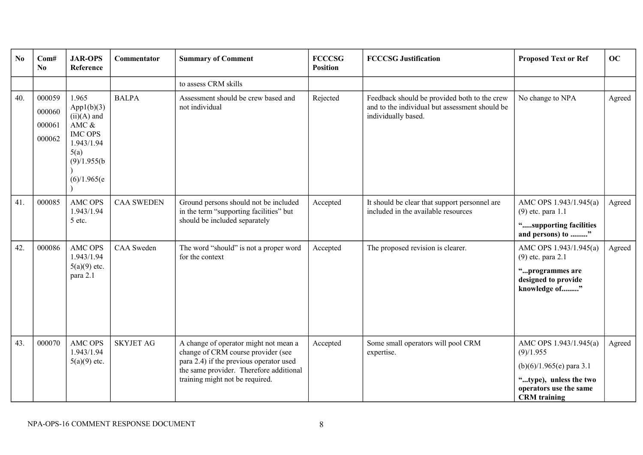| N <sub>0</sub> | Com#<br>N <sub>0</sub>               | <b>JAR-OPS</b><br>Reference                                                                                             | Commentator       | <b>Summary of Comment</b>                                                                                                                                                                            | <b>FCCCSG</b><br><b>Position</b> | <b>FCCCSG</b> Justification                                                                                           | <b>Proposed Text or Ref</b>                                                                                                                  | <b>OC</b> |
|----------------|--------------------------------------|-------------------------------------------------------------------------------------------------------------------------|-------------------|------------------------------------------------------------------------------------------------------------------------------------------------------------------------------------------------------|----------------------------------|-----------------------------------------------------------------------------------------------------------------------|----------------------------------------------------------------------------------------------------------------------------------------------|-----------|
|                |                                      |                                                                                                                         |                   | to assess CRM skills                                                                                                                                                                                 |                                  |                                                                                                                       |                                                                                                                                              |           |
| 40.            | 000059<br>000060<br>000061<br>000062 | 1.965<br>App1(b)(3)<br>$(ii)(A)$ and<br>AMC $&$<br><b>IMC OPS</b><br>1.943/1.94<br>5(a)<br>(9)/1.955(b)<br>(6)/1.965(e) | <b>BALPA</b>      | Assessment should be crew based and<br>not individual                                                                                                                                                | Rejected                         | Feedback should be provided both to the crew<br>and to the individual but assessment should be<br>individually based. | No change to NPA                                                                                                                             | Agreed    |
| 41.            | 000085                               | <b>AMC OPS</b><br>1.943/1.94<br>5 etc.                                                                                  | <b>CAA SWEDEN</b> | Ground persons should not be included<br>in the term "supporting facilities" but<br>should be included separately                                                                                    | Accepted                         | It should be clear that support personnel are<br>included in the available resources                                  | AMC OPS 1.943/1.945(a)<br>$(9)$ etc. para 1.1<br>"supporting facilities<br>and persons) to "                                                 | Agreed    |
| 42.            | 000086                               | <b>AMC OPS</b><br>1.943/1.94<br>$5(a)(9)$ etc.<br>para 2.1                                                              | <b>CAA</b> Sweden | The word "should" is not a proper word<br>for the context                                                                                                                                            | Accepted                         | The proposed revision is clearer.                                                                                     | AMC OPS 1.943/1.945(a)<br>$(9)$ etc. para 2.1<br>"programmes are<br>designed to provide<br>knowledge of"                                     | Agreed    |
| 43.            | 000070                               | <b>AMC OPS</b><br>1.943/1.94<br>$5(a)(9)$ etc.                                                                          | <b>SKYJET AG</b>  | A change of operator might not mean a<br>change of CRM course provider (see<br>para 2.4) if the previous operator used<br>the same provider. Therefore additional<br>training might not be required. | Accepted                         | Some small operators will pool CRM<br>expertise.                                                                      | AMC OPS 1.943/1.945(a)<br>(9)/1.955<br>$(b)(6)/1.965(e)$ para 3.1<br>"type), unless the two<br>operators use the same<br><b>CRM</b> training | Agreed    |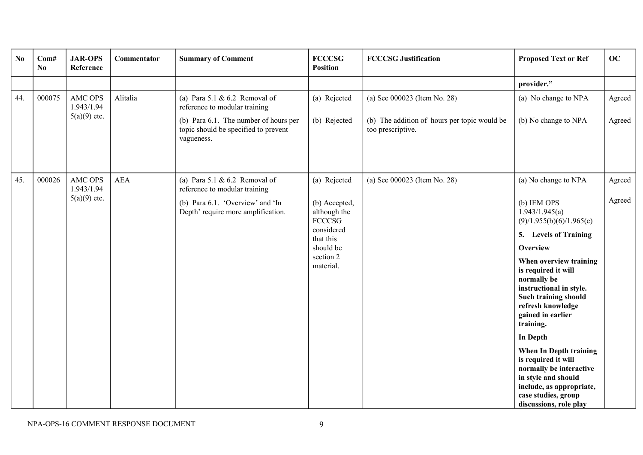| N <sub>0</sub> | Com#<br>No | <b>JAR-OPS</b><br>Reference                    | Commentator | <b>Summary of Comment</b>                                                                                                                                     | <b>FCCCSG</b><br><b>Position</b>                                                                                          | <b>FCCCSG Justification</b>                                                                       | <b>Proposed Text or Ref</b>                                                                                                                                                                                                                                                                                                                                                                                                                                                                         | OC               |
|----------------|------------|------------------------------------------------|-------------|---------------------------------------------------------------------------------------------------------------------------------------------------------------|---------------------------------------------------------------------------------------------------------------------------|---------------------------------------------------------------------------------------------------|-----------------------------------------------------------------------------------------------------------------------------------------------------------------------------------------------------------------------------------------------------------------------------------------------------------------------------------------------------------------------------------------------------------------------------------------------------------------------------------------------------|------------------|
|                |            |                                                |             |                                                                                                                                                               |                                                                                                                           |                                                                                                   | provider."                                                                                                                                                                                                                                                                                                                                                                                                                                                                                          |                  |
| 44.            | 000075     | AMC OPS<br>1.943/1.94<br>$5(a)(9)$ etc.        | Alitalia    | (a) Para 5.1 & 6.2 Removal of<br>reference to modular training<br>(b) Para 6.1. The number of hours per<br>topic should be specified to prevent<br>vagueness. | (a) Rejected<br>(b) Rejected                                                                                              | (a) See 000023 (Item No. 28)<br>(b) The addition of hours per topic would be<br>too prescriptive. | (a) No change to NPA<br>(b) No change to NPA                                                                                                                                                                                                                                                                                                                                                                                                                                                        | Agreed<br>Agreed |
| 45.            | 000026     | <b>AMC OPS</b><br>1.943/1.94<br>$5(a)(9)$ etc. | <b>AEA</b>  | (a) Para $5.1 \& 6.2$ Removal of<br>reference to modular training<br>(b) Para 6.1. 'Overview' and 'In<br>Depth' require more amplification.                   | (a) Rejected<br>(b) Accepted,<br>although the<br>FCCCSG<br>considered<br>that this<br>should be<br>section 2<br>material. | (a) See 000023 (Item No. 28)                                                                      | (a) No change to NPA<br>(b) IEM OPS<br>1.943/1.945(a)<br>(9)/1.955(b)(6)/1.965(e)<br>5. Levels of Training<br>Overview<br>When overview training<br>is required it will<br>normally be<br>instructional in style.<br>Such training should<br>refresh knowledge<br>gained in earlier<br>training.<br><b>In Depth</b><br>When In Depth training<br>is required it will<br>normally be interactive<br>in style and should<br>include, as appropriate,<br>case studies, group<br>discussions, role play | Agreed<br>Agreed |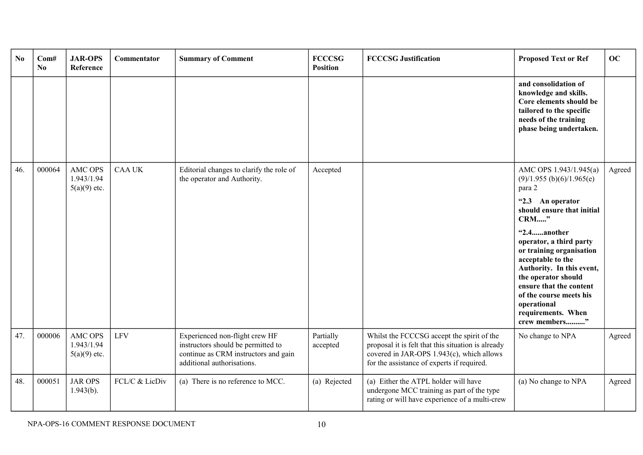| N <sub>0</sub> | Com#<br>$\mathbf{N}\mathbf{0}$ | <b>JAR-OPS</b><br>Reference                    | Commentator    | <b>Summary of Comment</b>                                                                                                                  | <b>FCCCSG</b><br><b>Position</b> | <b>FCCCSG Justification</b>                                                                                                                                                                 | <b>Proposed Text or Ref</b>                                                                                                                                                                                                                             | OC     |
|----------------|--------------------------------|------------------------------------------------|----------------|--------------------------------------------------------------------------------------------------------------------------------------------|----------------------------------|---------------------------------------------------------------------------------------------------------------------------------------------------------------------------------------------|---------------------------------------------------------------------------------------------------------------------------------------------------------------------------------------------------------------------------------------------------------|--------|
|                |                                |                                                |                |                                                                                                                                            |                                  |                                                                                                                                                                                             | and consolidation of<br>knowledge and skills.<br>Core elements should be<br>tailored to the specific<br>needs of the training<br>phase being undertaken.                                                                                                |        |
| 46.            | 000064                         | <b>AMC OPS</b><br>1.943/1.94<br>$5(a)(9)$ etc. | <b>CAA UK</b>  | Editorial changes to clarify the role of<br>the operator and Authority.                                                                    | Accepted                         |                                                                                                                                                                                             | AMC OPS 1.943/1.945(a)<br>$(9)/1.955$ (b)(6)/1.965(e)<br>para 2                                                                                                                                                                                         | Agreed |
|                |                                |                                                |                |                                                                                                                                            |                                  |                                                                                                                                                                                             | "2.3 An operator<br>should ensure that initial<br><b>CRM"</b>                                                                                                                                                                                           |        |
|                |                                |                                                |                |                                                                                                                                            |                                  |                                                                                                                                                                                             | "2.4another<br>operator, a third party<br>or training organisation<br>acceptable to the<br>Authority. In this event,<br>the operator should<br>ensure that the content<br>of the course meets his<br>operational<br>requirements. When<br>crew members" |        |
| 47.            | 000006                         | AMC OPS<br>1.943/1.94<br>$5(a)(9)$ etc.        | <b>LFV</b>     | Experienced non-flight crew HF<br>instructors should be permitted to<br>continue as CRM instructors and gain<br>additional authorisations. | Partially<br>accepted            | Whilst the FCCCSG accept the spirit of the<br>proposal it is felt that this situation is already<br>covered in JAR-OPS 1.943(c), which allows<br>for the assistance of experts if required. | No change to NPA                                                                                                                                                                                                                                        | Agreed |
| 48.            | 000051                         | <b>JAR OPS</b><br>$1.943(b)$ .                 | FCL/C & LicDiv | (a) There is no reference to MCC.                                                                                                          | (a) Rejected                     | (a) Either the ATPL holder will have<br>undergone MCC training as part of the type<br>rating or will have experience of a multi-crew                                                        | (a) No change to NPA                                                                                                                                                                                                                                    | Agreed |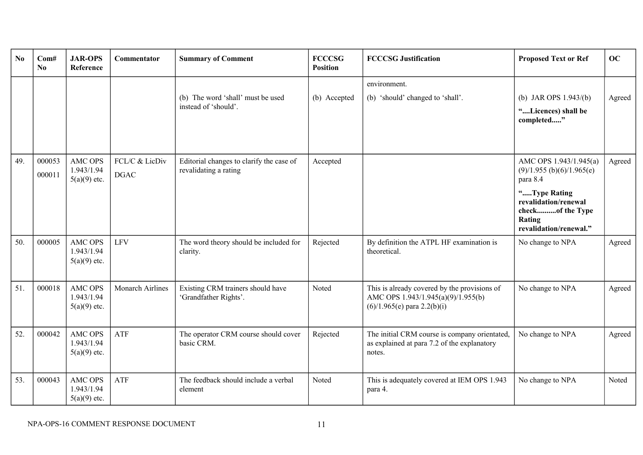| N <sub>0</sub> | Com#<br>N <sub>0</sub> | <b>JAR-OPS</b><br>Reference                    | Commentator                   | <b>Summary of Comment</b>                                         | <b>FCCCSG</b><br><b>Position</b> | <b>FCCCSG Justification</b>                                                                                         | <b>Proposed Text or Ref</b>                                                                                                                                       | OC     |
|----------------|------------------------|------------------------------------------------|-------------------------------|-------------------------------------------------------------------|----------------------------------|---------------------------------------------------------------------------------------------------------------------|-------------------------------------------------------------------------------------------------------------------------------------------------------------------|--------|
|                |                        |                                                |                               | (b) The word 'shall' must be used<br>instead of 'should'.         | (b) Accepted                     | environment.<br>(b) 'should' changed to 'shall'.                                                                    | (b) JAR OPS $1.943/(b)$<br>"Licences) shall be<br>completed"                                                                                                      | Agreed |
| 49.            | 000053<br>000011       | <b>AMC OPS</b><br>1.943/1.94<br>$5(a)(9)$ etc. | FCL/C & LicDiv<br><b>DGAC</b> | Editorial changes to clarify the case of<br>revalidating a rating | Accepted                         |                                                                                                                     | AMC OPS 1.943/1.945(a)<br>$(9)/1.955$ (b)(6)/1.965(e)<br>para 8.4<br>"Type Rating<br>revalidation/renewal<br>checkof the Type<br>Rating<br>revalidation/renewal." | Agreed |
| 50.            | 000005                 | <b>AMC OPS</b><br>1.943/1.94<br>$5(a)(9)$ etc. | <b>LFV</b>                    | The word theory should be included for<br>clarity.                | Rejected                         | By definition the ATPL HF examination is<br>theoretical.                                                            | No change to NPA                                                                                                                                                  | Agreed |
| 51.            | 000018                 | <b>AMC OPS</b><br>1.943/1.94<br>$5(a)(9)$ etc. | <b>Monarch Airlines</b>       | Existing CRM trainers should have<br>'Grandfather Rights'.        | Noted                            | This is already covered by the provisions of<br>AMC OPS 1.943/1.945(a)(9)/1.955(b)<br>$(6)/1.965(e)$ para 2.2(b)(i) | No change to NPA                                                                                                                                                  | Agreed |
| 52.            | 000042                 | <b>AMC OPS</b><br>1.943/1.94<br>$5(a)(9)$ etc. | <b>ATF</b>                    | The operator CRM course should cover<br>basic CRM.                | Rejected                         | The initial CRM course is company orientated,<br>as explained at para 7.2 of the explanatory<br>notes.              | No change to NPA                                                                                                                                                  | Agreed |
| 53.            | 000043                 | <b>AMC OPS</b><br>1.943/1.94<br>$5(a)(9)$ etc. | <b>ATF</b>                    | The feedback should include a verbal<br>element                   | Noted                            | This is adequately covered at IEM OPS 1.943<br>para 4.                                                              | No change to NPA                                                                                                                                                  | Noted  |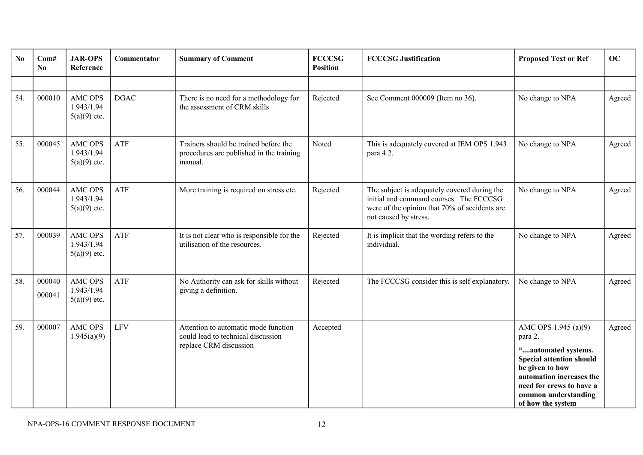| N <sub>0</sub> | Com#<br>No.      | <b>JAR-OPS</b><br>Reference                    | Commentator | <b>Summary of Comment</b>                                                                            | <b>FCCCSG</b><br><b>Position</b> | <b>FCCCSG Justification</b>                                                                                                                                       | <b>Proposed Text or Ref</b>                                                                                                                                                                                       | OC     |
|----------------|------------------|------------------------------------------------|-------------|------------------------------------------------------------------------------------------------------|----------------------------------|-------------------------------------------------------------------------------------------------------------------------------------------------------------------|-------------------------------------------------------------------------------------------------------------------------------------------------------------------------------------------------------------------|--------|
|                |                  |                                                |             |                                                                                                      |                                  |                                                                                                                                                                   |                                                                                                                                                                                                                   |        |
| 54.            | 000010           | <b>AMC OPS</b><br>1.943/1.94<br>$5(a)(9)$ etc. | <b>DGAC</b> | There is no need for a methodology for<br>the assessment of CRM skills                               | Rejected                         | See Comment 000009 (Item no 36).                                                                                                                                  | No change to NPA                                                                                                                                                                                                  | Agreed |
| 55.            | 000045           | <b>AMC OPS</b><br>1.943/1.94<br>$5(a)(9)$ etc. | ATF         | Trainers should be trained before the<br>procedures are published in the training<br>manual.         | Noted                            | This is adequately covered at IEM OPS 1.943<br>para 4.2.                                                                                                          | No change to NPA                                                                                                                                                                                                  | Agreed |
| 56.            | 000044           | AMC OPS<br>1.943/1.94<br>$5(a)(9)$ etc.        | ATF         | More training is required on stress etc.                                                             | Rejected                         | The subject is adequately covered during the<br>initial and command courses. The FCCCSG<br>were of the opinion that 70% of accidents are<br>not caused by stress. | No change to NPA                                                                                                                                                                                                  | Agreed |
| 57.            | 000039           | <b>AMC OPS</b><br>1.943/1.94<br>$5(a)(9)$ etc. | ATF         | It is not clear who is responsible for the<br>utilisation of the resources.                          | Rejected                         | It is implicit that the wording refers to the<br>individual.                                                                                                      | No change to NPA                                                                                                                                                                                                  | Agreed |
| 58.            | 000040<br>000041 | AMC OPS<br>1.943/1.94<br>$5(a)(9)$ etc.        | ATF         | No Authority can ask for skills without<br>giving a definition.                                      | Rejected                         | The FCCCSG consider this is self explanatory.                                                                                                                     | No change to NPA                                                                                                                                                                                                  | Agreed |
| 59.            | 000007           | AMC OPS<br>1.945(a)(9)                         | <b>LFV</b>  | Attention to automatic mode function<br>could lead to technical discussion<br>replace CRM discussion | Accepted                         |                                                                                                                                                                   | AMC OPS 1.945 (a)(9)<br>para 2.<br>"automated systems.<br><b>Special attention should</b><br>be given to how<br>automation increases the<br>need for crews to have a<br>common understanding<br>of how the system | Agreed |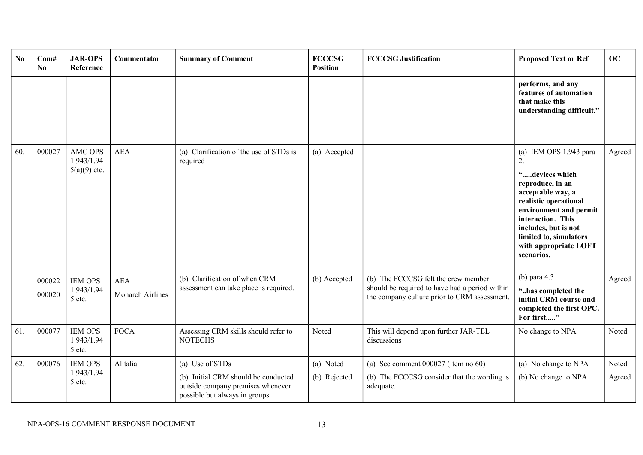| N <sub>0</sub> | Com#<br>No       | <b>JAR-OPS</b><br>Reference                                      | Commentator              | <b>Summary of Comment</b>                                                                                                     | <b>FCCCSG</b><br><b>Position</b> | <b>FCCCSG Justification</b>                                                                       | <b>Proposed Text or Ref</b>                                                                                                                                                                                                                                                | <b>OC</b>        |
|----------------|------------------|------------------------------------------------------------------|--------------------------|-------------------------------------------------------------------------------------------------------------------------------|----------------------------------|---------------------------------------------------------------------------------------------------|----------------------------------------------------------------------------------------------------------------------------------------------------------------------------------------------------------------------------------------------------------------------------|------------------|
|                |                  |                                                                  |                          |                                                                                                                               |                                  |                                                                                                   | performs, and any<br>features of automation<br>that make this<br>understanding difficult."                                                                                                                                                                                 |                  |
| 60.            | 000027<br>000022 | <b>AMC OPS</b><br>1.943/1.94<br>$5(a)(9)$ etc.<br><b>IEM OPS</b> | <b>AEA</b><br><b>AEA</b> | (a) Clarification of the use of STDs is<br>required<br>(b) Clarification of when CRM                                          | (a) Accepted<br>(b) Accepted     | (b) The FCCCSG felt the crew member                                                               | (a) IEM OPS 1.943 para<br>2.<br>"devices which<br>reproduce, in an<br>acceptable way, a<br>realistic operational<br>environment and permit<br>interaction. This<br>includes, but is not<br>limited to, simulators<br>with appropriate LOFT<br>scenarios.<br>(b) para $4.3$ | Agreed<br>Agreed |
|                | 000020           | 1.943/1.94<br>5 etc.                                             | <b>Monarch Airlines</b>  | assessment can take place is required.                                                                                        |                                  | should be required to have had a period within<br>the company culture prior to CRM assessment.    | "has completed the<br>initial CRM course and<br>completed the first OPC.<br>For first"                                                                                                                                                                                     |                  |
| 61.            | 000077           | <b>IEM OPS</b><br>1.943/1.94<br>5 etc.                           | <b>FOCA</b>              | Assessing CRM skills should refer to<br><b>NOTECHS</b>                                                                        | Noted                            | This will depend upon further JAR-TEL<br>discussions                                              | No change to NPA                                                                                                                                                                                                                                                           | Noted            |
| 62.            | 000076           | <b>IEM OPS</b><br>1.943/1.94<br>5 etc.                           | Alitalia                 | (a) Use of STDs<br>(b) Initial CRM should be conducted<br>outside company premises whenever<br>possible but always in groups. | (a) Noted<br>(b) Rejected        | (a) See comment $000027$ (Item no 60)<br>(b) The FCCCSG consider that the wording is<br>adequate. | (a) No change to NPA<br>(b) No change to NPA                                                                                                                                                                                                                               | Noted<br>Agreed  |